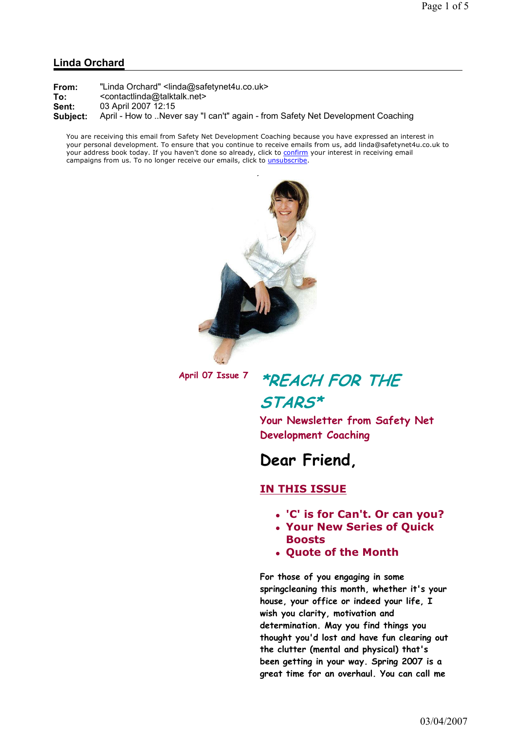#### Linda Orchard

You are receiving this email from Safety Net Development Coaching because you have expressed an interest in your personal development. To ensure that you continue to receive emails from us, add linda@safetynet4u.co.uk to your address book today. If you haven't done so already, click to confirm your interest in receiving email campaigns from us. To no longer receive our emails, click to unsubscribe.



# April 07 Issue 7 \*REACH FOR THE

### STARS\*

Your Newsletter from Safety Net Development Coaching

## Dear Friend,

#### IN THIS ISSUE

- 'C' is for Can't. Or can you?
- Your New Series of Quick Boosts
- Quote of the Month

For those of you engaging in some springcleaning this month, whether it's your house, your office or indeed your life, I wish you clarity, motivation and determination. May you find things you thought you'd lost and have fun clearing out the clutter (mental and physical) that's been getting in your way. Spring 2007 is a great time for an overhaul. You can call me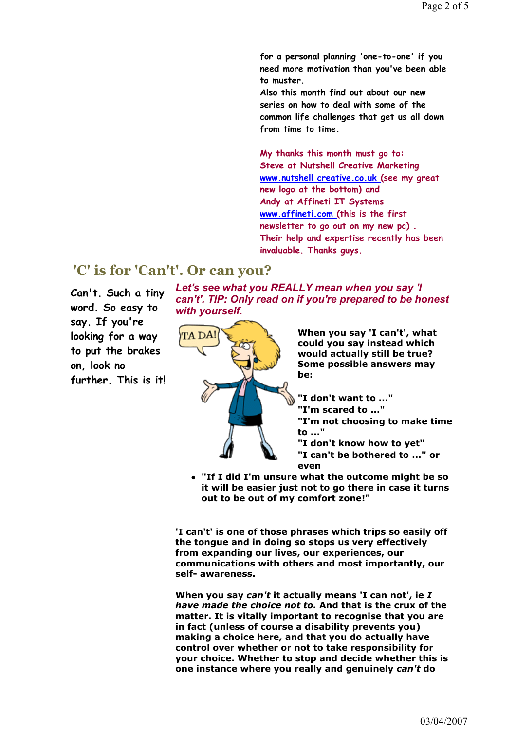for a personal planning 'one-to-one' if you need more motivation than you've been able to muster.

Also this month find out about our new series on how to deal with some of the common life challenges that get us all down from time to time.

My thanks this month must go to: Steve at Nutshell Creative Marketing www.nutshell creative.co.uk (see my great new logo at the bottom) and Andy at Affineti IT Systems www.affineti.com (this is the first newsletter to go out on my new pc) . Their help and expertise recently has been invaluable. Thanks guys.

### 'C' is for 'Can't'. Or can you?

Can't. Such a tiny word. So easy to say. If you're looking for a way to put the brakes on, look no further. This is it!

Let's see what you REALLY mean when you say 'I can't'. TIP: Only read on if you're prepared to be honest with yourself.



When you say 'I can't', what could you say instead which would actually still be true? Some possible answers may be:

"I don't want to ..."

"I'm scared to ..."

 "I'm not choosing to make time to ..."

"I don't know how to yet"

 "I can't be bothered to ..." or even

 "If I did I'm unsure what the outcome might be so it will be easier just not to go there in case it turns out to be out of my comfort zone!"

'I can't' is one of those phrases which trips so easily off the tongue and in doing so stops us very effectively from expanding our lives, our experiences, our communications with others and most importantly, our self- awareness.

When you say can't it actually means 'I can not', ie  $I$ have made the choice not to. And that is the crux of the matter. It is vitally important to recognise that you are in fact (unless of course a disability prevents you) making a choice here, and that you do actually have control over whether or not to take responsibility for your choice. Whether to stop and decide whether this is one instance where you really and genuinely can't do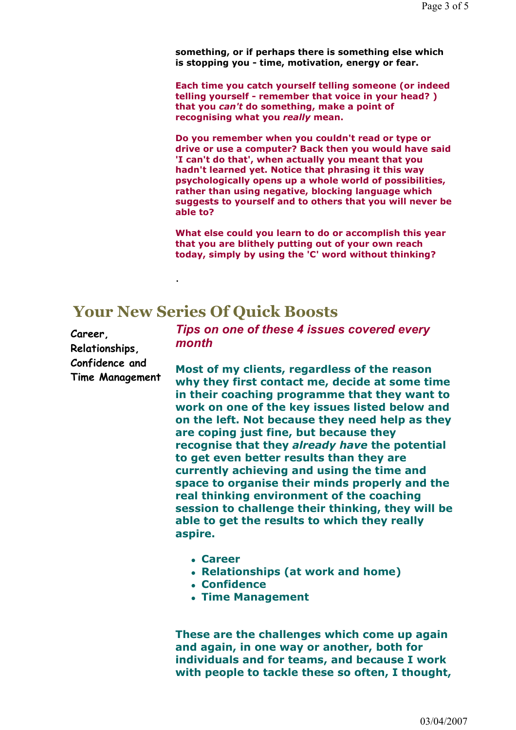something, or if perhaps there is something else which is stopping you - time, motivation, energy or fear.

Each time you catch yourself telling someone (or indeed telling yourself - remember that voice in your head? ) that you can't do something, make a point of recognising what you really mean.

Do you remember when you couldn't read or type or drive or use a computer? Back then you would have said 'I can't do that', when actually you meant that you hadn't learned yet. Notice that phrasing it this way psychologically opens up a whole world of possibilities, rather than using negative, blocking language which suggests to yourself and to others that you will never be able to?

What else could you learn to do or accomplish this year that you are blithely putting out of your own reach today, simply by using the 'C' word without thinking?

## Your New Series Of Quick Boosts

.

Career, Relationships, Confidence and Time Management

Tips on one of these 4 issues covered every month

Most of my clients, regardless of the reason why they first contact me, decide at some time in their coaching programme that they want to work on one of the key issues listed below and on the left. Not because they need help as they are coping just fine, but because they recognise that they already have the potential to get even better results than they are currently achieving and using the time and space to organise their minds properly and the real thinking environment of the coaching session to challenge their thinking, they will be able to get the results to which they really aspire.

- Career
- Relationships (at work and home)
- Confidence
- Time Management

These are the challenges which come up again and again, in one way or another, both for individuals and for teams, and because I work with people to tackle these so often, I thought,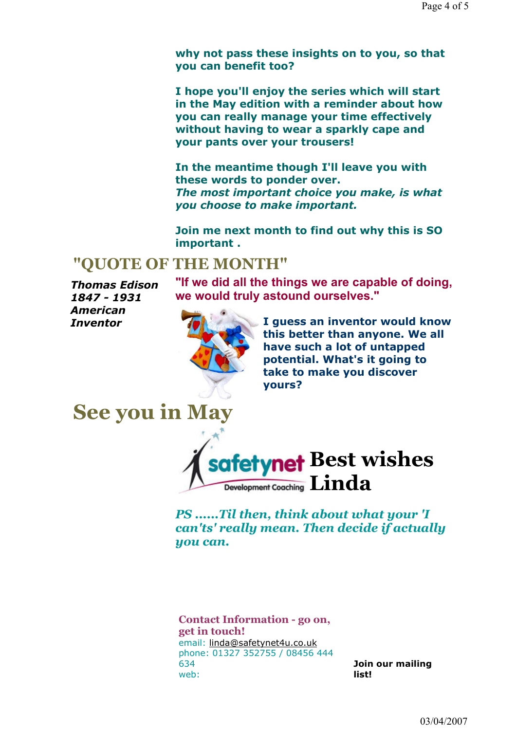why not pass these insights on to you, so that you can benefit too?

I hope you'll enjoy the series which will start in the May edition with a reminder about how you can really manage your time effectively without having to wear a sparkly cape and your pants over your trousers!

In the meantime though I'll leave you with these words to ponder over. The most important choice you make, is what you choose to make important.

Join me next month to find out why this is SO important .

### "QUOTE OF THE MONTH"

Thomas Edison 1847 - 1931 American Inventor

"If we did all the things we are capable of doing, we would truly astound ourselves."



I guess an inventor would know this better than anyone. We all have such a lot of untapped potential. What's it going to take to make you discover yours?



PS ......Til then, think about what your 'I can'ts' really mean. Then decide if actually you can.

Contact Information - go on, get in touch! email: linda@safetynet4u.co.uk phone: 01327 352755 / 08456 444 634 web:

Join our mailing list!